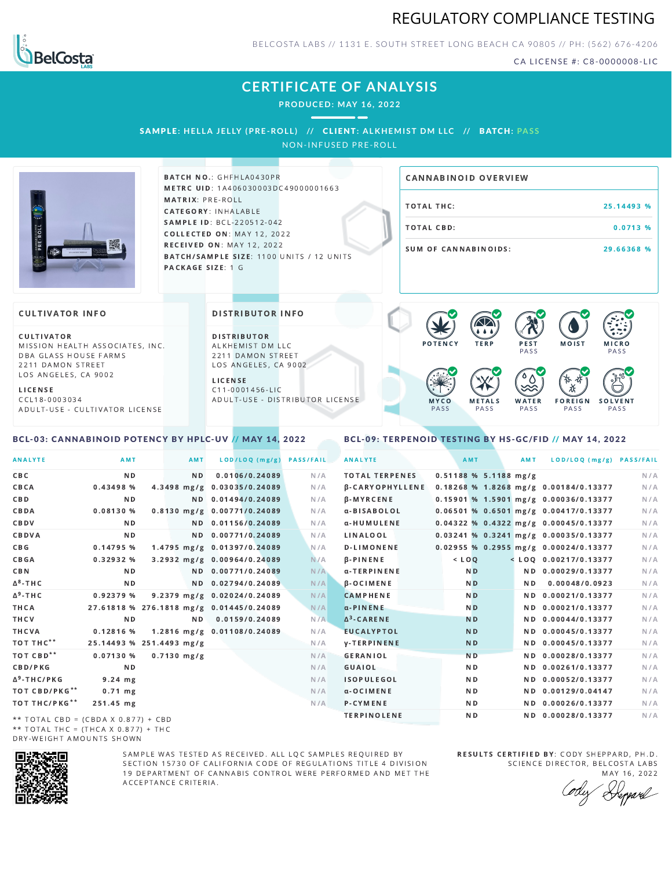



BELCOSTA LABS // 1131 E. SOUTH STREET LONG BEACH C A 90805 // PH: (562) 676-4206

CA LICENSE #: C8-0000008-LIC

# **CERTIFICATE OF ANALYSIS**

**PRODUCED: MAY 16, 2022**

# SAMPLE: HELLA JELLY (PRE-ROLL) // CLIENT: ALKHEMIST DM LLC // BATCH: PASS

NON-INFUSED PRE-ROLL



BATCH NO.: GHFHLA0430PR METRC UID: 1A406030003DC49000001663 MATRIX: PRE-ROLL CATEGORY: INHALABLE SAMPLE ID: BCL-220512-042 COLLECTED ON: MAY 12, 2022 **RECEIVED ON: MAY 12, 2022** BATCH/SAMPLE SIZE: 1100 UNITS / 12 UNITS PACKAGE SIZE: 1 G

# TOTAL THC: 25.14493 % TOTAL CBD: 0.0713 % SUM OF CANNABINOIDS: 29.66368 % CANNABINOID OVERVIEW

### **CULTIVATOR INFO**

CULTIVATOR MISSION HEALTH ASSOCIATES, INC. DBA GLASS HOUSE FARMS 2211 DAMON STREET LOS ANGELES, CA 9002

L I C E N S E C C L 1 8 - 0 0 0 3 0 3 4 A D U L T - U S E - C U L T I V A T O R L I CENSE

### <span id="page-0-0"></span>BCL-03: CANNABINOID POTENCY BY HPLC-UV // MAY 14, 2022

DISTRIBUTOR INFO

D I STRIBUTOR ALKHEMIST DM LLC 2211 DAMON STREET LOS ANGELES, CA 9002 L I C E N S E

 $C$  11-0001456-LIC A D U L T - U S E - D I STRI B U T O R LICENSE



### <span id="page-0-1"></span>BCL-09: TERPENOID TESTING BY HS-GC/FID // MAY 14, 2022

| <b>ANALYTE</b>                      | AMT                                      | AMT            | LOD/LOQ (mg/g)              | <b>PASS/FAIL</b> | <b>ANALYTE</b>         | AMT            |                         | AMT | LOD/LOQ (mg/g) PASS/FAIL                |     |
|-------------------------------------|------------------------------------------|----------------|-----------------------------|------------------|------------------------|----------------|-------------------------|-----|-----------------------------------------|-----|
| C B C                               | N <sub>D</sub>                           | N <sub>D</sub> | 0.0106/0.24089              | N/A              | <b>TOTAL TERPENES</b>  |                | $0.51188$ % 5.1188 mg/g |     |                                         | N/A |
| CBCA                                | 0.43498 %                                |                | 4.3498 mg/g 0.03035/0.24089 | N/A              | <b>B-CARYOPHYLLENE</b> |                |                         |     | 0.18268 % 1.8268 mg/g 0.00184/0.13377   | N/A |
| C B D                               | N <sub>D</sub>                           |                | ND 0.01494/0.24089          | N/A              | <b>B-MYRCENE</b>       |                |                         |     | 0.15901 % 1.5901 mg/g 0.00036/0.13377   | N/A |
| CBDA                                | 0.08130%                                 |                | 0.8130 mg/g 0.00771/0.24089 | N/A              | α-BISABOLOL            |                |                         |     | $0.06501$ % 0.6501 mg/g 0.00417/0.13377 | N/A |
| CBDV                                | ND.                                      |                | ND 0.01156/0.24089          | N/A              | α-HUMULENE             |                |                         |     | 0.04322 % 0.4322 mg/g 0.00045/0.13377   | N/A |
| CBDVA                               | N <sub>D</sub>                           |                | ND 0.00771/0.24089          | N/A              | LINALOOL               |                |                         |     | $0.03241$ % 0.3241 mg/g 0.00035/0.13377 | N/A |
| C B G                               | 0.14795 %                                |                | 1.4795 mg/g 0.01397/0.24089 | N/A              | <b>D-LIMONENE</b>      |                |                         |     | $0.02955$ % 0.2955 mg/g 0.00024/0.13377 | N/A |
| CBGA                                | 0.32932%                                 |                | 3.2932 mg/g 0.00964/0.24089 | N/A              | $\beta$ -PINENE        | $<$ $LOO$      |                         |     | $<$ LOQ 0.00217/0.13377                 | N/A |
| C B N                               | ND.                                      |                | ND 0.00771/0.24089          | N/A              | α-TERPINENE            | N <sub>D</sub> |                         |     | ND 0.00029/0.13377                      | N/A |
| ∆ <sup>8</sup> -ТНС                 | N D                                      |                | ND 0.02794/0.24089          | N/A              | $\beta$ -OCIMENE       | N <sub>D</sub> |                         | ND. | 0.00048/0.0923                          | N/A |
| Δ <sup>9</sup> -ΤΗ C                | 0.92379%                                 |                | 9.2379 mg/g 0.02024/0.24089 | N/A              | <b>CAMPHENE</b>        | N <sub>D</sub> |                         |     | ND 0.00021/0.13377                      | N/A |
| ТНСА                                | 27.61818 % 276.1818 mg/g 0.01445/0.24089 |                |                             | N/A              | $\alpha$ -PINENE       | N <sub>D</sub> |                         |     | ND 0.00021/0.13377                      | N/A |
| THCV                                | N <sub>D</sub>                           | ND.            | 0.0159/0.24089              | N/A              | $\Delta^3$ -CARENE     | <b>ND</b>      |                         |     | ND 0.00044/0.13377                      | N/A |
| THCVA                               | $0.12816$ %                              |                | 1.2816 mg/g 0.01108/0.24089 | N/A              | <b>EUCALYPTOL</b>      | <b>ND</b>      |                         |     | ND 0.00045/0.13377                      | N/A |
| тот тнс**                           | 25.14493 % 251.4493 mg/g                 |                |                             | N/A              | <b>y-TERPINENE</b>     | N <sub>D</sub> |                         |     | ND 0.00045/0.13377                      | N/A |
| тот свр**                           | 0.07130%                                 | $0.7130$ mg/g  |                             | N/A              | <b>GERANIOL</b>        | <b>ND</b>      |                         |     | ND 0.00028/0.13377                      | N/A |
| <b>CBD/PKG</b>                      | N <sub>D</sub>                           |                |                             | N/A              | GUAIOL                 | N <sub>D</sub> |                         |     | ND 0.00261/0.13377                      | N/A |
| Δ <sup>9</sup> -THC/PKG             | $9.24$ mg                                |                |                             | N/A              | <b>ISOPULEGOL</b>      | ND.            |                         |     | ND 0.00052/0.13377                      | N/A |
| ТОТ СВD/РКG**                       | $0.71$ mg                                |                |                             | N/A              | a-OCIMENE              | ND.            |                         |     | ND 0.00129/0.04147                      | N/A |
| ТОТ ТНС/РКG**                       | 251.45 mg                                |                |                             | N/A              | P-CYMENE               | ND.            |                         |     | ND 0.00026/0.13377                      | N/A |
| ** TOTAL CRD - (CRDA V A 977) + CRD |                                          |                |                             |                  | <b>TERPINOLENE</b>     | N D            |                         |     | ND 0.00028/0.13377                      | N/A |

\*\* TOTAL CBD = (CBDA X 0.877) + CBD \*\* TOTAL THC = (THCA X  $0.877$ ) + THC DRY-WEIGHT AMOUNTS SHOWN



SAMPLE WAS TESTED AS RECEIVED. ALL LOC SAMPLES REQUIRED BY SECTION 15730 OF CALIFORNIA CODE OF REGULATIONS TITLE 4 DIVISION 19 DEPARTMENT OF CANNABIS CONTROL WERE PERFORMED AND MET THE A C C E P T A N C E C R I T E R I A.

RESULTS CERTIFIED BY: CODY SHEPPARD, PH.D. SCIENCE DIRECTOR, BELCOSTA LABS

MAY 16, 2022 Keppard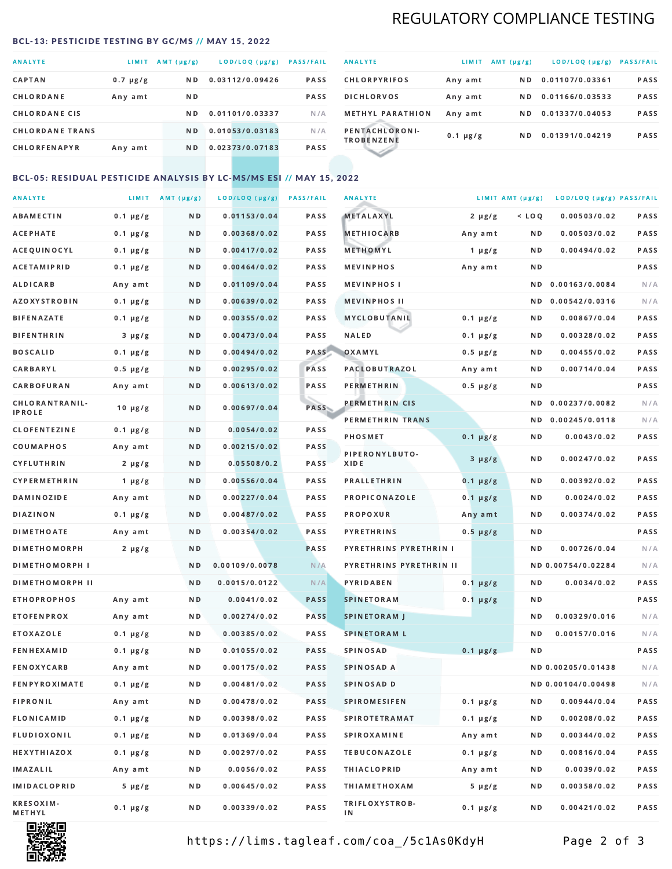# REGULATORY COMPLIANCE TESTING

### <span id="page-1-0"></span>BCL-13: PESTICIDE TESTING BY GC/MS // MAY 15, 2022

| <b>ANALYTE</b>         | LIMIT         | AMT (µg/g)     | LOD/LOQ (µg/g)  | <b>PASS/FAIL</b> |
|------------------------|---------------|----------------|-----------------|------------------|
| <b>CAPTAN</b>          | $0.7 \mu g/g$ | N <sub>D</sub> | 0.03112/0.09426 | <b>PASS</b>      |
| CHLORDANE              | Any amt       | N D            |                 | <b>PASS</b>      |
| <b>CHLORDANE CIS</b>   |               | ND.            | 0.01101/0.03337 | N/A              |
| <b>CHLORDANE TRANS</b> |               | N <sub>D</sub> | 0.01053/0.03183 | N/A              |
| <b>CHLORFENAPYR</b>    | Any amt       | N D            | 0.02373/0.07183 | <b>PASS</b>      |

| <b>ANALYTE</b>                      | LIMIT         | $AMT(\mu g/g)$ | LOD/LOQ (µg/g)  | <b>PASS/FAIL</b> |
|-------------------------------------|---------------|----------------|-----------------|------------------|
| <b>CHLORPYRIFOS</b>                 | Any amt       | N D            | 0.01107/0.03361 | <b>PASS</b>      |
| <b>DICHLORVOS</b>                   | Any amt       | N D            | 0.01166/0.03533 | <b>PASS</b>      |
| <b>METHYL PARATHION</b>             | Any amt       | ND.            | 0.01337/0.04053 | <b>PASS</b>      |
| PENTACHLORONI-<br><b>TROBENZENE</b> | $0.1 \mu g/g$ | ND.            | 0.01391/0.04219 | <b>PASS</b>      |
|                                     |               |                |                 |                  |

### BCL-05: RESIDUAL PESTICIDE ANALYSIS BY LC-MS/MS ESI // MAY 15, 2022

| <b>ANALYTE</b>             |               | LIMIT $AMT (\mu g/g)$ | LOD/LOQ (µg/g) | <b>PASS/FAIL</b> | <b>ANALYTE</b>          |               | LIMIT AMT $(\mu g/g)$ | LOD/LOQ (µg/g) PASS/FAIL |      |
|----------------------------|---------------|-----------------------|----------------|------------------|-------------------------|---------------|-----------------------|--------------------------|------|
| <b>ABAMECTIN</b>           | $0.1 \mu g/g$ | N D                   | 0.01153/0.04   | PASS             | <b>METALAXYL</b>        | $2 \mu g/g$   | $<$ LOQ               | 0.00503/0.02             | PASS |
| <b>ACEPHATE</b>            | $0.1 \mu g/g$ | N D                   | 0.00368/0.02   | <b>PASS</b>      | <b>METHIOCARB</b>       | Any amt       | N D                   | 0.00503/0.02             | PASS |
| ACEQUINOCYL                | $0.1 \mu g/g$ | N D                   | 0.00417/0.02   | <b>PASS</b>      | METHOMYL                | 1 $\mu$ g/g   | N D                   | 0.00494/0.02             | PASS |
| ACETAMIPRID                | $0.1 \mu g/g$ | N D                   | 0.00464/0.02   | PASS             | <b>MEVINPHOS</b>        | Any amt       | N D                   |                          | PASS |
| ALDICARB                   | Any amt       | N D                   | 0.01109/0.04   | <b>PASS</b>      | <b>MEVINPHOSI</b>       |               | ND.                   | 0.00163/0.0084           | N/A  |
| <b>AZOXYSTROBIN</b>        | $0.1 \mu g/g$ | N D                   | 0.00639/0.02   | PASS             | <b>MEVINPHOS II</b>     |               | N D                   | 0.00542/0.0316           | N/A  |
| <b>BIFENAZATE</b>          | $0.1 \mu g/g$ | N D                   | 0.00355/0.02   | PASS             | <b>MYCLOBUTANIL</b>     | $0.1 \mu g/g$ | N D                   | 0.00867/0.04             | PASS |
| <b>BIFENTHRIN</b>          | $3 \mu g/g$   | N D                   | 0.00473/0.04   | PASS             | <b>NALED</b>            | $0.1 \mu g/g$ | N D                   | 0.00328/0.02             | PASS |
| <b>BOSCALID</b>            | $0.1 \mu g/g$ | N D                   | 0.00494/0.02   | PASS             | OXAMYL                  | $0.5 \mu g/g$ | N D                   | 0.00455/0.02             | PASS |
| <b>CARBARYL</b>            | $0.5 \mu g/g$ | N D                   | 0.00295/0.02   | PASS             | PACLOBUTRAZOL           | Any amt       | N D                   | 0.00714/0.04             | PASS |
| CARBOFURAN                 | Any amt       | N D                   | 0.00613/0.02   | PASS             | PERMETHRIN              | $0.5 \mu g/g$ | N D                   |                          | PASS |
| CHLORANTRANIL-             | $10 \mu g/g$  | N D                   | 0.00697/0.04   | <b>PASS</b>      | PERMETHRIN CIS          |               | ND.                   | 0.00237/0.0082           | N/A  |
| <b>IPROLE</b>              |               |                       |                |                  | PERMETHRIN TRANS        |               |                       | ND 0.00245/0.0118        | N/A  |
| <b>CLOFENTEZINE</b>        | $0.1 \mu g/g$ | N D                   | 0.0054/0.02    | PASS             | <b>PHOSMET</b>          | $0.1 \mu g/g$ | N D                   | 0.0043/0.02              | PASS |
| COUMAPHOS                  | Any amt       | N D                   | 0.00215/0.02   | <b>PASS</b>      | PIPERONYLBUTO-          | $3 \mu g/g$   | N D                   | 0.00247/0.02             | PASS |
| CYFLUTHRIN                 | $2 \mu g/g$   | N D                   | 0.05508/0.2    | PASS             | XIDE                    |               |                       |                          |      |
| <b>CYPERMETHRIN</b>        | $1 \mu g/g$   | N D                   | 0.00556/0.04   | PASS             | <b>PRALLETHRIN</b>      | $0.1 \mu g/g$ | N D                   | 0.00392/0.02             | PASS |
| <b>DAMINOZIDE</b>          | Any amt       | N D                   | 0.00227/0.04   | PASS             | PROPICONAZOLE           | $0.1 \mu g/g$ | N D                   | 0.0024/0.02              | PASS |
| <b>DIAZINON</b>            | $0.1 \mu g/g$ | N D                   | 0.00487/0.02   | PASS             | <b>PROPOXUR</b>         | Any amt       | N D                   | 0.00374/0.02             | PASS |
| <b>DIMETHOATE</b>          | Any amt       | N D                   | 0.00354/0.02   | PASS             | <b>PYRETHRINS</b>       | $0.5 \mu g/g$ | N D                   |                          | PASS |
| <b>DIMETHOMORPH</b>        | $2 \mu g/g$   | N D                   |                | PASS             | PYRETHRINS PYRETHRIN I  |               | N D                   | 0.00726/0.04             | N/A  |
| <b>DIMETHOMORPH I</b>      |               | N D                   | 0.00109/0.0078 | N/A              | PYRETHRINS PYRETHRIN II |               |                       | ND 0.00754/0.02284       | N/A  |
| <b>DIMETHOMORPH II</b>     |               | N D                   | 0.0015/0.0122  | N/A              | <b>PYRIDABEN</b>        | $0.1 \mu g/g$ | N D                   | 0.0034/0.02              | PASS |
| <b>ETHOPROPHOS</b>         | Any amt       | N D                   | 0.0041/0.02    | <b>PASS</b>      | <b>SPINETORAM</b>       | $0.1 \mu g/g$ | N D                   |                          | PASS |
| <b>ETOFENPROX</b>          | Any amt       | N D                   | 0.00274/0.02   | <b>PASS</b>      | <b>SPINETORAM J</b>     |               | N D                   | 0.00329/0.016            | N/A  |
| ETOXAZOLE                  | $0.1 \mu g/g$ | N D                   | 0.00385/0.02   | <b>PASS</b>      | <b>SPINETORAM L</b>     |               | N D                   | 0.00157/0.016            | N/A  |
| <b>FENHEXAMID</b>          | $0.1 \mu g/g$ | N D                   | 0.01055/0.02   | <b>PASS</b>      | SPINOSAD                | $0.1 \mu g/g$ | N D                   |                          | PASS |
| <b>FENOXYCARB</b>          | Any amt       | N D                   | 0.00175/0.02   | PASS             | SPINOSAD A              |               |                       | ND 0.00205/0.01438       | N/A  |
| <b>FENPYROXIMATE</b>       | $0.1 \mu g/g$ | N D                   | 0.00481/0.02   | PASS             | SPINOSAD D              |               |                       | ND 0.00104/0.00498       | N/A  |
| <b>FIPRONIL</b>            | Any amt       | N D                   | 0.00478/0.02   | PASS             | <b>SPIROMESIFEN</b>     | $0.1 \mu g/g$ | N D                   | 0.00944/0.04             | PASS |
| FLONICAMID                 | $0.1 \mu g/g$ | N D                   | 0.00398/0.02   | PASS             | <b>SPIROTETRAMAT</b>    | $0.1 \mu g/g$ | N D                   | 0.00208/0.02             | PASS |
| FLUDIOXONIL                | $0.1 \mu g/g$ | N D                   | 0.01369/0.04   | PASS             | <b>SPIROXAMINE</b>      | Any amt       | N D                   | 0.00344/0.02             | PASS |
| <b>HEXYTHIAZOX</b>         | $0.1 \mu g/g$ | N D                   | 0.00297/0.02   | PASS             | <b>TEBUCONAZOLE</b>     | $0.1 \mu g/g$ | N D                   | 0.00816/0.04             | PASS |
| IMAZALIL                   | Any amt       | N D                   | 0.0056/0.02    | PASS             | <b>THIACLOPRID</b>      | Any amt       | N D                   | 0.0039/0.02              | PASS |
| <b>IMIDACLOPRID</b>        | $5 \mu g/g$   | N D                   | 0.00645/0.02   | PASS             | <b>THIAMETHOXAM</b>     | $5 \mu g/g$   | N D                   | 0.00358/0.02             | PASS |
| <b>KRESOXIM-</b><br>METHYL | $0.1 \mu g/g$ | N D                   | 0.00339/0.02   | PASS             | TRIFLOXYSTROB-<br>ΙN    | $0.1 \mu g/g$ | N D                   | 0.00421/0.02             | PASS |



https://lims.tagleaf.com/coa\_/5c1As0KdyH Page 2 of 3